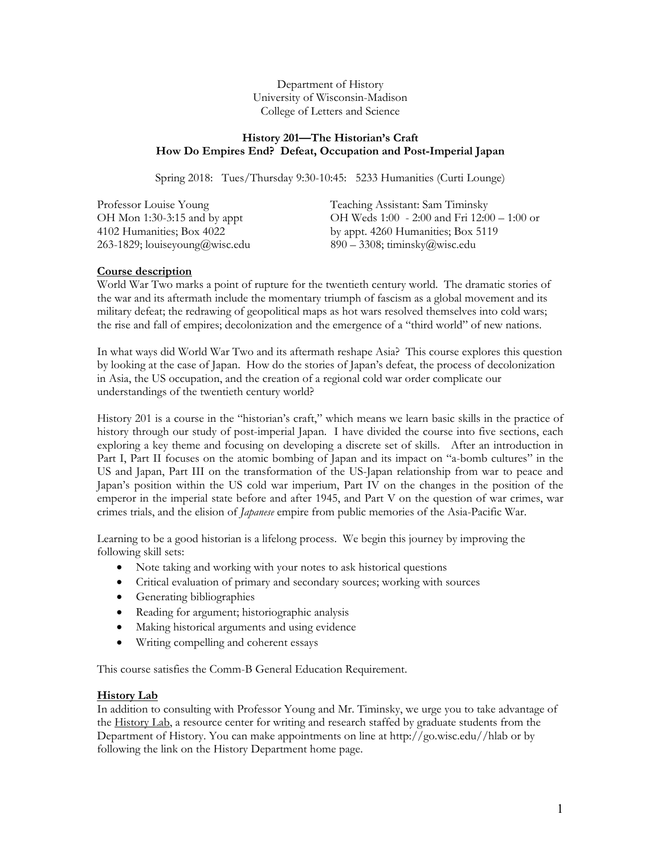Department of History University of Wisconsin-Madison College of Letters and Science

## **History 201—The Historian's Craft How Do Empires End? Defeat, Occupation and Post-Imperial Japan**

Spring 2018: Tues/Thursday 9:30-10:45: 5233 Humanities (Curti Lounge)

| Professor Louise Young         | Teaching Assistant: Sam Timinsky                |
|--------------------------------|-------------------------------------------------|
| OH Mon 1:30-3:15 and by appt   | OH Weds $1:00 - 2:00$ and Fri $12:00 - 1:00$ or |
| 4102 Humanities; Box 4022      | by appt. 4260 Humanities; Box 5119              |
| 263-1829; louiseyoung@wisc.edu | $890 - 3308$ ; timinsky $@$ wisc.edu            |

## **Course description**

World War Two marks a point of rupture for the twentieth century world. The dramatic stories of the war and its aftermath include the momentary triumph of fascism as a global movement and its military defeat; the redrawing of geopolitical maps as hot wars resolved themselves into cold wars; the rise and fall of empires; decolonization and the emergence of a "third world" of new nations.

In what ways did World War Two and its aftermath reshape Asia? This course explores this question by looking at the case of Japan. How do the stories of Japan's defeat, the process of decolonization in Asia, the US occupation, and the creation of a regional cold war order complicate our understandings of the twentieth century world?

History 201 is a course in the "historian's craft," which means we learn basic skills in the practice of history through our study of post-imperial Japan. I have divided the course into five sections, each exploring a key theme and focusing on developing a discrete set of skills. After an introduction in Part I, Part II focuses on the atomic bombing of Japan and its impact on "a-bomb cultures" in the US and Japan, Part III on the transformation of the US-Japan relationship from war to peace and Japan's position within the US cold war imperium, Part IV on the changes in the position of the emperor in the imperial state before and after 1945, and Part V on the question of war crimes, war crimes trials, and the elision of *Japanese* empire from public memories of the Asia-Pacific War.

Learning to be a good historian is a lifelong process. We begin this journey by improving the following skill sets:

- Note taking and working with your notes to ask historical questions
- Critical evaluation of primary and secondary sources; working with sources
- Generating bibliographies
- Reading for argument; historiographic analysis
- Making historical arguments and using evidence
- Writing compelling and coherent essays

This course satisfies the Comm-B General Education Requirement.

## **History Lab**

In addition to consulting with Professor Young and Mr. Timinsky, we urge you to take advantage of the History Lab, a resource center for writing and research staffed by graduate students from the Department of History. You can make appointments on line at http://go.wisc.edu//hlab or by following the link on the History Department home page.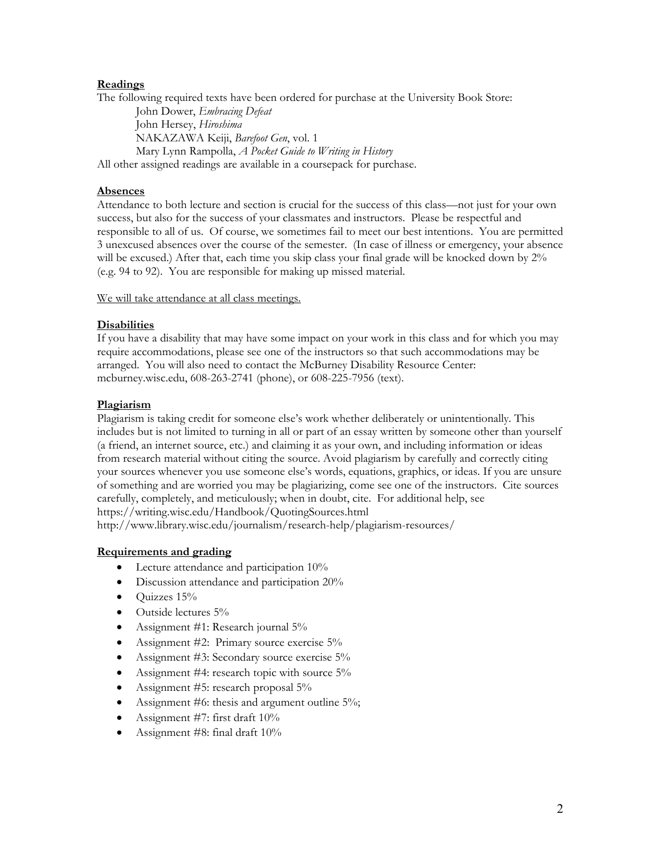# **Readings**

The following required texts have been ordered for purchase at the University Book Store:

John Dower, *Embracing Defeat* John Hersey, *Hiroshima*  NAKAZAWA Keiji, *Barefoot Gen*, vol. 1 Mary Lynn Rampolla, *A Pocket Guide to Writing in History* 

All other assigned readings are available in a coursepack for purchase.

# **Absences**

Attendance to both lecture and section is crucial for the success of this class—not just for your own success, but also for the success of your classmates and instructors. Please be respectful and responsible to all of us. Of course, we sometimes fail to meet our best intentions. You are permitted 3 unexcused absences over the course of the semester. (In case of illness or emergency, your absence will be excused.) After that, each time you skip class your final grade will be knocked down by 2% (e.g. 94 to 92). You are responsible for making up missed material.

We will take attendance at all class meetings.

## **Disabilities**

If you have a disability that may have some impact on your work in this class and for which you may require accommodations, please see one of the instructors so that such accommodations may be arranged. You will also need to contact the McBurney Disability Resource Center: mcburney.wisc.edu, 608-263-2741 (phone), or 608-225-7956 (text).

## **Plagiarism**

Plagiarism is taking credit for someone else's work whether deliberately or unintentionally. This includes but is not limited to turning in all or part of an essay written by someone other than yourself (a friend, an internet source, etc.) and claiming it as your own, and including information or ideas from research material without citing the source. Avoid plagiarism by carefully and correctly citing your sources whenever you use someone else's words, equations, graphics, or ideas. If you are unsure of something and are worried you may be plagiarizing, come see one of the instructors. Cite sources carefully, completely, and meticulously; when in doubt, cite. For additional help, see https://writing.wisc.edu/Handbook/QuotingSources.html

http://www.library.wisc.edu/journalism/research-help/plagiarism-resources/

# **Requirements and grading**

- Lecture attendance and participation 10%
- Discussion attendance and participation 20%
- $\bullet$  Quizzes 15%
- Outside lectures 5%
- Assignment #1: Research journal 5%
- Assignment  $\#2$ : Primary source exercise  $5\%$
- Assignment #3: Secondary source exercise 5%
- Assignment #4: research topic with source 5%
- Assignment #5: research proposal 5%
- Assignment #6: thesis and argument outline 5%;
- Assignment #7: first draft 10%
- Assignment #8: final draft 10%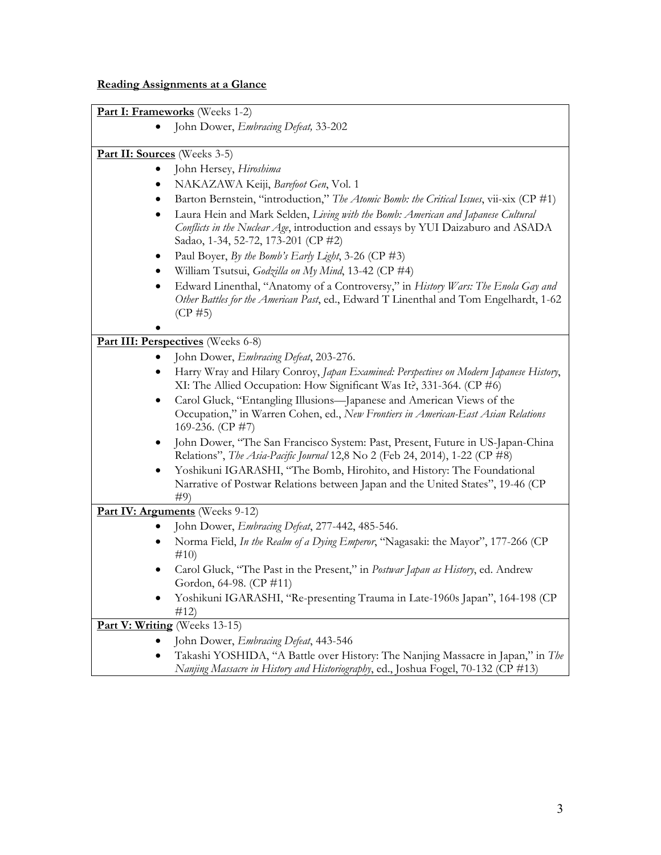# **Reading Assignments at a Glance**

|                                     | Part I: Frameworks (Weeks 1-2)                                                                                                                                                 |
|-------------------------------------|--------------------------------------------------------------------------------------------------------------------------------------------------------------------------------|
|                                     | John Dower, Embracing Defeat, 33-202                                                                                                                                           |
|                                     |                                                                                                                                                                                |
| <b>Part II: Sources</b> (Weeks 3-5) |                                                                                                                                                                                |
|                                     | John Hersey, Hiroshima                                                                                                                                                         |
| ٠                                   | NAKAZAWA Keiji, Barefoot Gen, Vol. 1                                                                                                                                           |
| ٠                                   | Barton Bernstein, "introduction," The Atomic Bomb: the Critical Issues, vii-xix (CP #1)                                                                                        |
| $\bullet$                           | Laura Hein and Mark Selden, Living with the Bomb: American and Japanese Cultural                                                                                               |
|                                     | Conflicts in the Nuclear Age, introduction and essays by YUI Daizaburo and ASADA                                                                                               |
|                                     | Sadao, 1-34, 52-72, 173-201 (CP #2)                                                                                                                                            |
| ٠                                   | Paul Boyer, By the Bomb's Early Light, 3-26 (CP #3)                                                                                                                            |
| ٠                                   | William Tsutsui, Godzilla on My Mind, 13-42 (CP #4)                                                                                                                            |
| $\bullet$                           | Edward Linenthal, "Anatomy of a Controversy," in History Wars: The Enola Gay and                                                                                               |
|                                     | Other Battles for the American Past, ed., Edward T Linenthal and Tom Engelhardt, 1-62                                                                                          |
|                                     | $(CP \# 5)$                                                                                                                                                                    |
|                                     |                                                                                                                                                                                |
|                                     | <b>Part III: Perspectives</b> (Weeks 6-8)                                                                                                                                      |
|                                     | John Dower, Embracing Defeat, 203-276.                                                                                                                                         |
| ٠                                   | Harry Wray and Hilary Conroy, Japan Examined: Perspectives on Modern Japanese History,                                                                                         |
|                                     | XI: The Allied Occupation: How Significant Was It?, 331-364. (CP #6)                                                                                                           |
| $\bullet$                           | Carol Gluck, "Entangling Illusions-Japanese and American Views of the<br>Occupation," in Warren Cohen, ed., New Frontiers in American-East Asian Relations<br>169-236. (CP #7) |
| ٠                                   | John Dower, "The San Francisco System: Past, Present, Future in US-Japan-China<br>Relations", The Asia-Pacific Journal 12,8 No 2 (Feb 24, 2014), 1-22 (CP #8)                  |
| ٠                                   | Yoshikuni IGARASHI, "The Bomb, Hirohito, and History: The Foundational                                                                                                         |
|                                     | Narrative of Postwar Relations between Japan and the United States", 19-46 (CP                                                                                                 |
|                                     | #9)                                                                                                                                                                            |
|                                     | Part IV: Arguments (Weeks 9-12)                                                                                                                                                |
|                                     | John Dower, Embracing Defeat, 277-442, 485-546.                                                                                                                                |
| ٠                                   | Norma Field, In the Realm of a Dying Emperor, "Nagasaki: the Mayor", 177-266 (CP                                                                                               |
|                                     | #10)                                                                                                                                                                           |
|                                     | Carol Gluck, "The Past in the Present," in Postwar Japan as History, ed. Andrew                                                                                                |
|                                     | Gordon, 64-98. (CP #11)                                                                                                                                                        |
|                                     | Yoshikuni IGARASHI, "Re-presenting Trauma in Late-1960s Japan", 164-198 (CP                                                                                                    |
|                                     | #12)                                                                                                                                                                           |
|                                     | <b>Part V: Writing</b> (Weeks 13-15)                                                                                                                                           |
| $\bullet$                           | John Dower, Embracing Defeat, 443-546                                                                                                                                          |
| ٠                                   | Takashi YOSHIDA, "A Battle over History: The Nanjing Massacre in Japan," in The<br>Nanjing Massacre in History and Historiography, ed., Joshua Fogel, 70-132 (CP #13)          |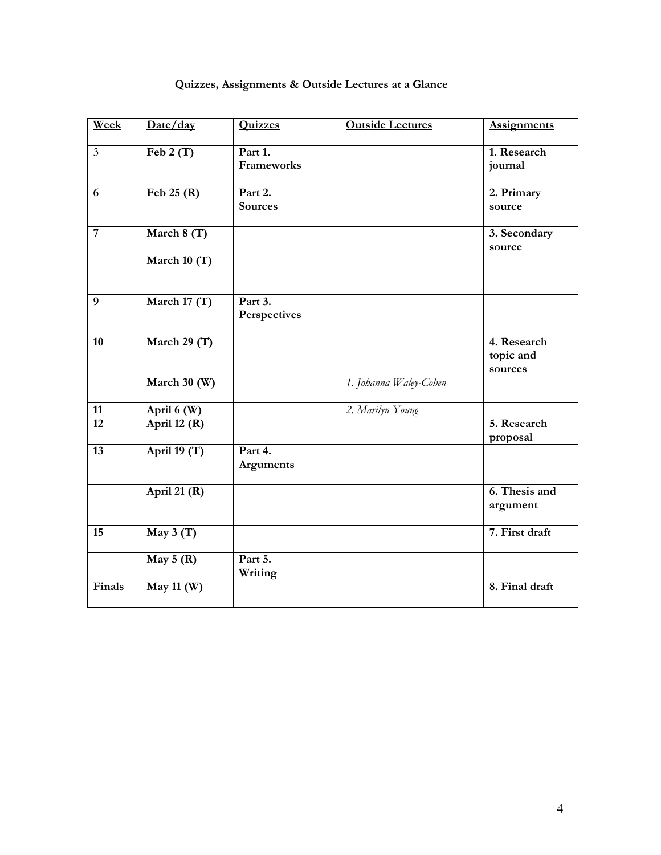# **Quizzes, Assignments & Outside Lectures at a Glance**

| Week            | Date/day               | <b>Quizzes</b>            | <b>Outside Lectures</b> | <b>Assignments</b>                  |
|-----------------|------------------------|---------------------------|-------------------------|-------------------------------------|
| $\overline{3}$  | Feb $2(T)$             | Part 1.<br>Frameworks     |                         | 1. Research<br>journal              |
| 6               | Feb $25(R)$            | Part 2.<br><b>Sources</b> |                         | 2. Primary<br>source                |
| $\overline{7}$  | March 8 (T)            |                           |                         | 3. Secondary<br>source              |
|                 | March $10(T)$          |                           |                         |                                     |
| 9               | March 17 $(T)$         | Part 3.<br>Perspectives   |                         |                                     |
| 10              | March 29 (T)           |                           |                         | 4. Research<br>topic and<br>sources |
|                 | March 30 (W)           |                           | 1. Johanna Waley-Cohen  |                                     |
| 11              | April 6 (W)            |                           | 2. Marilyn Young        |                                     |
| $\overline{12}$ | April 12 (R)           |                           |                         | 5. Research<br>proposal             |
| $\overline{13}$ | April 19 (T)           | Part 4.<br>Arguments      |                         |                                     |
|                 | April 21 $(R)$         |                           |                         | 6. Thesis and<br>argument           |
| 15              | $\overline{May\ 3(T)}$ |                           |                         | 7. First draft                      |
|                 | May $5(R)$             | Part 5.<br>Writing        |                         |                                     |
| Finals          | May 11 (W)             |                           |                         | 8. Final draft                      |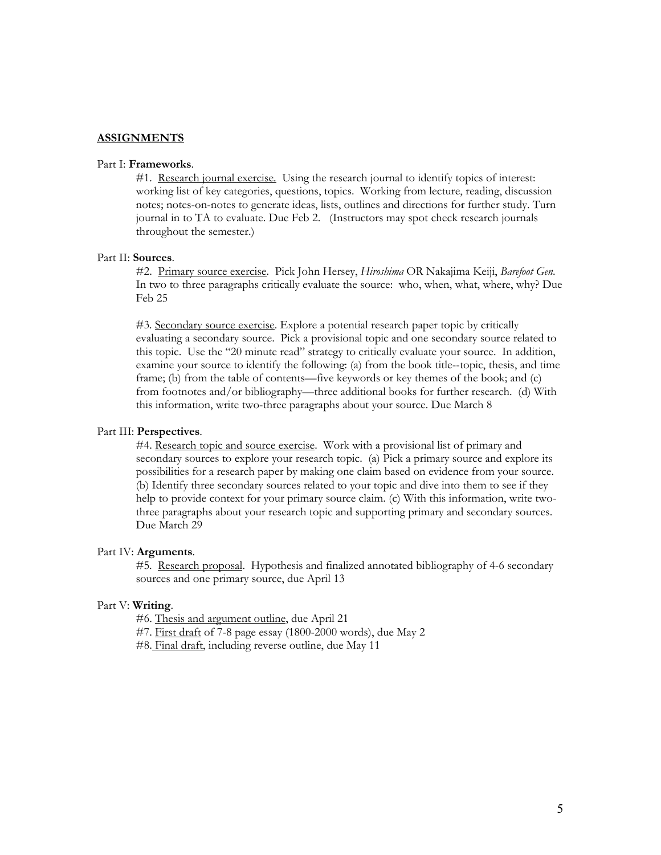### **ASSIGNMENTS**

#### Part I: **Frameworks**.

#1. Research journal exercise. Using the research journal to identify topics of interest: working list of key categories, questions, topics. Working from lecture, reading, discussion notes; notes-on-notes to generate ideas, lists, outlines and directions for further study. Turn journal in to TA to evaluate. Due Feb 2. (Instructors may spot check research journals throughout the semester.)

### Part II: **Sources**.

#2. Primary source exercise. Pick John Hersey, *Hiroshima* OR Nakajima Keiji, *Barefoot Gen*. In two to three paragraphs critically evaluate the source: who, when, what, where, why? Due Feb 25

#3. Secondary source exercise. Explore a potential research paper topic by critically evaluating a secondary source. Pick a provisional topic and one secondary source related to this topic. Use the "20 minute read" strategy to critically evaluate your source. In addition, examine your source to identify the following: (a) from the book title--topic, thesis, and time frame; (b) from the table of contents—five keywords or key themes of the book; and (c) from footnotes and/or bibliography—three additional books for further research. (d) With this information, write two-three paragraphs about your source. Due March 8

#### Part III: **Perspectives**.

#4. Research topic and source exercise. Work with a provisional list of primary and secondary sources to explore your research topic. (a) Pick a primary source and explore its possibilities for a research paper by making one claim based on evidence from your source. (b) Identify three secondary sources related to your topic and dive into them to see if they help to provide context for your primary source claim. (c) With this information, write twothree paragraphs about your research topic and supporting primary and secondary sources. Due March 29

## Part IV: **Arguments**.

#5. Research proposal. Hypothesis and finalized annotated bibliography of 4-6 secondary sources and one primary source, due April 13

## Part V: **Writing**.

#6. Thesis and argument outline, due April 21

- #7. First draft of 7-8 page essay (1800-2000 words), due May 2
- #8. Final draft, including reverse outline, due May 11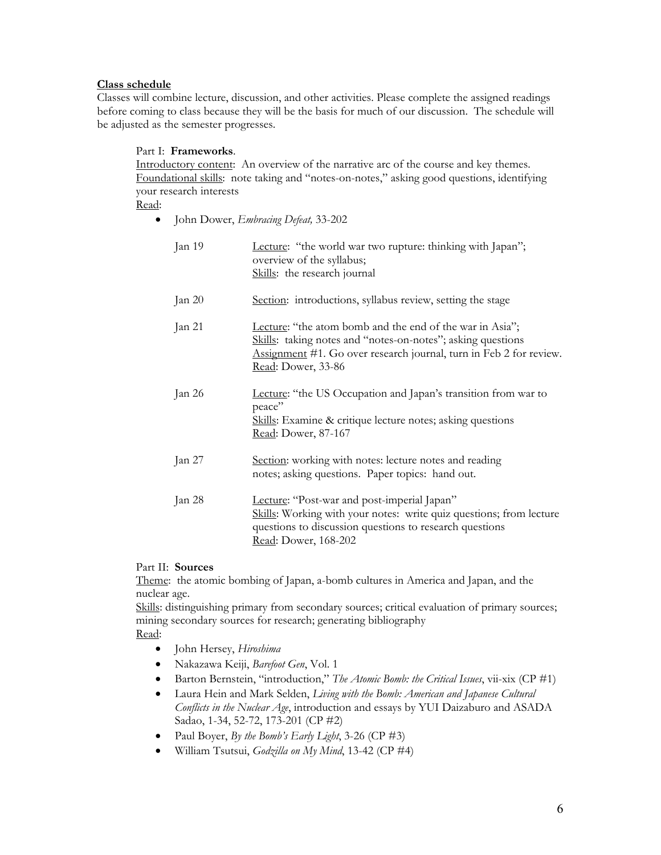# **Class schedule**

Classes will combine lecture, discussion, and other activities. Please complete the assigned readings before coming to class because they will be the basis for much of our discussion. The schedule will be adjusted as the semester progresses.

## Part I: **Frameworks**.

Introductory content: An overview of the narrative arc of the course and key themes. Foundational skills: note taking and "notes-on-notes," asking good questions, identifying your research interests

Read:

John Dower, *Embracing Defeat,* 33-202

| Jan 19   | Lecture: "the world war two rupture: thinking with Japan";<br>overview of the syllabus;<br>Skills: the research journal                                                                                             |
|----------|---------------------------------------------------------------------------------------------------------------------------------------------------------------------------------------------------------------------|
| Jan $20$ | Section: introductions, syllabus review, setting the stage                                                                                                                                                          |
| Jan 21   | Lecture: "the atom bomb and the end of the war in Asia";<br>Skills: taking notes and "notes-on-notes"; asking questions<br>Assignment #1. Go over research journal, turn in Feb 2 for review.<br>Read: Dower, 33-86 |
| Jan 26   | Lecture: "the US Occupation and Japan's transition from war to<br>peace"<br><b>Skills:</b> Examine & critique lecture notes; asking questions<br>Read: Dower, 87-167                                                |
| Jan $27$ | Section: working with notes: lecture notes and reading<br>notes; asking questions. Paper topics: hand out.                                                                                                          |
| Jan 28   | Lecture: "Post-war and post-imperial Japan"<br>Skills: Working with your notes: write quiz questions; from lecture<br>questions to discussion questions to research questions<br>Read: Dower, 168-202               |

# Part II: **Sources**

Theme: the atomic bombing of Japan, a-bomb cultures in America and Japan, and the nuclear age.

Skills: distinguishing primary from secondary sources; critical evaluation of primary sources; mining secondary sources for research; generating bibliography

Read:

- John Hersey, *Hiroshima*
- Nakazawa Keiji, *Barefoot Gen*, Vol. 1
- Barton Bernstein, "introduction," *The Atomic Bomb: the Critical Issues*, vii-xix (CP #1)
- Laura Hein and Mark Selden, *Living with the Bomb: American and Japanese Cultural Conflicts in the Nuclear Age*, introduction and essays by YUI Daizaburo and ASADA Sadao, 1-34, 52-72, 173-201 (CP #2)
- Paul Boyer, *By the Bomb's Early Light*, 3-26 (CP #3)
- William Tsutsui, *Godzilla on My Mind*, 13-42 (CP #4)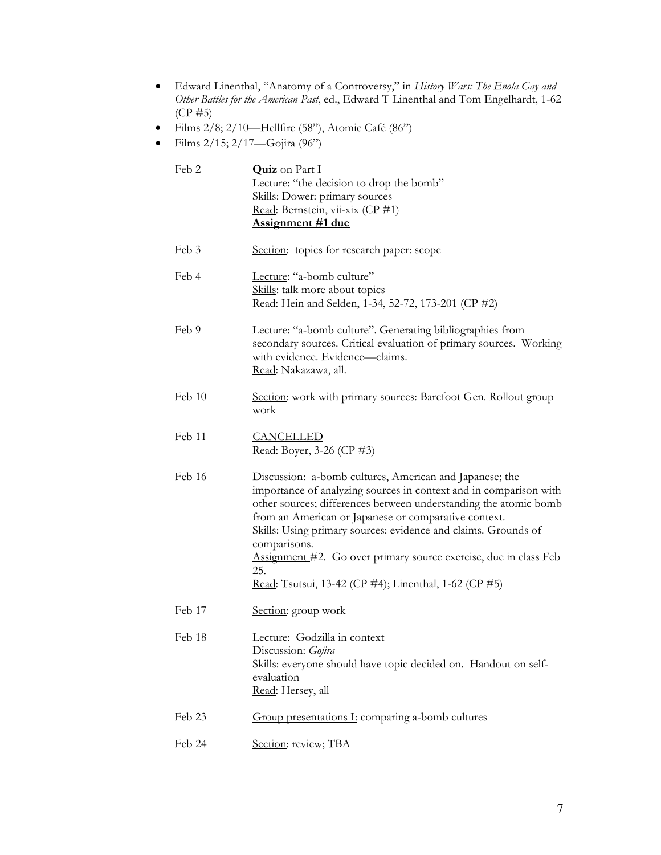- Edward Linenthal, "Anatomy of a Controversy," in *History Wars: The Enola Gay and Other Battles for the American Past*, ed., Edward T Linenthal and Tom Engelhardt, 1-62 (CP #5)
- $\bullet$  Films 2/8; 2/10—Hellfire (58"), Atomic Café (86")
- Films  $2/15$ ;  $2/17$ —Gojira (96")

| Feb 2  | <b>Quiz</b> on Part I<br>Lecture: "the decision to drop the bomb"<br>Skills: Dower: primary sources<br>Read: Bernstein, vii-xix (CP #1)<br><b>Assignment #1 due</b>                                                                                                                                                                                                                                                                                                            |
|--------|--------------------------------------------------------------------------------------------------------------------------------------------------------------------------------------------------------------------------------------------------------------------------------------------------------------------------------------------------------------------------------------------------------------------------------------------------------------------------------|
| Feb 3  | Section: topics for research paper: scope                                                                                                                                                                                                                                                                                                                                                                                                                                      |
| Feb 4  | Lecture: "a-bomb culture"<br>Skills: talk more about topics<br>Read: Hein and Selden, 1-34, 52-72, 173-201 (CP #2)                                                                                                                                                                                                                                                                                                                                                             |
| Feb 9  | Lecture: "a-bomb culture". Generating bibliographies from<br>secondary sources. Critical evaluation of primary sources. Working<br>with evidence. Evidence—claims.<br>Read: Nakazawa, all.                                                                                                                                                                                                                                                                                     |
| Feb 10 | Section: work with primary sources: Barefoot Gen. Rollout group<br>work                                                                                                                                                                                                                                                                                                                                                                                                        |
| Feb 11 | <b>CANCELLED</b><br>Read: Boyer, 3-26 (CP #3)                                                                                                                                                                                                                                                                                                                                                                                                                                  |
| Feb 16 | Discussion: a-bomb cultures, American and Japanese; the<br>importance of analyzing sources in context and in comparison with<br>other sources; differences between understanding the atomic bomb<br>from an American or Japanese or comparative context.<br>Skills: Using primary sources: evidence and claims. Grounds of<br>comparisons.<br>Assignment #2. Go over primary source exercise, due in class Feb<br>25.<br>Read: Tsutsui, 13-42 (CP #4); Linenthal, 1-62 (CP #5) |
| Feb 17 | Section: group work                                                                                                                                                                                                                                                                                                                                                                                                                                                            |
| Feb 18 | Lecture: Godzilla in context<br>Discussion: Gojira<br>Skills: everyone should have topic decided on. Handout on self-<br>evaluation<br>Read: Hersey, all                                                                                                                                                                                                                                                                                                                       |
| Feb 23 | Group presentations I: comparing a-bomb cultures                                                                                                                                                                                                                                                                                                                                                                                                                               |
| Feb 24 | Section: review; TBA                                                                                                                                                                                                                                                                                                                                                                                                                                                           |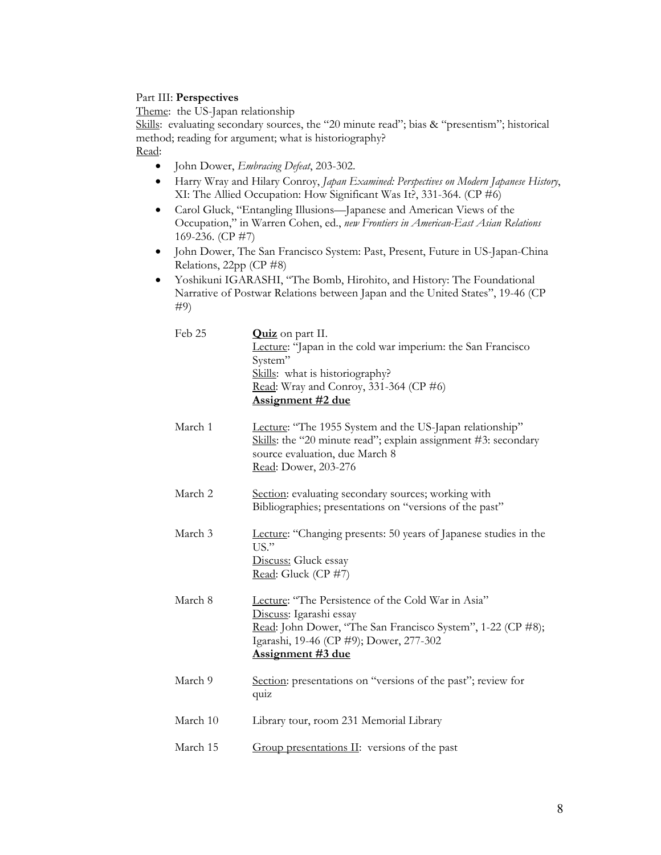# Part III: **Perspectives**

Theme: the US-Japan relationship

Skills: evaluating secondary sources, the "20 minute read"; bias & "presentism"; historical method; reading for argument; what is historiography?

# Read:

- John Dower, *Embracing Defeat*, 203-302.
- Harry Wray and Hilary Conroy, *Japan Examined: Perspectives on Modern Japanese History*, XI: The Allied Occupation: How Significant Was It?, 331-364. (CP #6)
- Carol Gluck, "Entangling Illusions—Japanese and American Views of the Occupation," in Warren Cohen, ed., *new Frontiers in American-East Asian Relations*  169-236. (CP #7)
- John Dower, The San Francisco System: Past, Present, Future in US-Japan-China Relations, 22pp (CP #8)
- Yoshikuni IGARASHI, "The Bomb, Hirohito, and History: The Foundational Narrative of Postwar Relations between Japan and the United States", 19-46 (CP #9)

| Feb 25   | Quiz on part II.<br>Lecture: "Japan in the cold war imperium: the San Francisco<br>System"<br>Skills: what is historiography?<br>Read: Wray and Conroy, 331-364 (CP #6)<br><u>Assignment #2 due</u>                 |
|----------|---------------------------------------------------------------------------------------------------------------------------------------------------------------------------------------------------------------------|
| March 1  | Lecture: "The 1955 System and the US-Japan relationship"<br>Skills: the "20 minute read"; explain assignment #3: secondary<br>source evaluation, due March 8<br>Read: Dower, 203-276                                |
| March 2  | Section: evaluating secondary sources; working with<br>Bibliographies; presentations on "versions of the past"                                                                                                      |
| March 3  | Lecture: "Changing presents: 50 years of Japanese studies in the<br>US."<br>Discuss: Gluck essay<br>Read: Gluck (CP #7)                                                                                             |
| March 8  | Lecture: "The Persistence of the Cold War in Asia"<br>Discuss: Igarashi essay<br>Read: John Dower, "The San Francisco System", 1-22 (CP #8);<br>Igarashi, 19-46 (CP #9); Dower, 277-302<br><u>Assignment #3 due</u> |
| March 9  | Section: presentations on "versions of the past"; review for<br>quiz                                                                                                                                                |
| March 10 | Library tour, room 231 Memorial Library                                                                                                                                                                             |
| March 15 | Group presentations II: versions of the past                                                                                                                                                                        |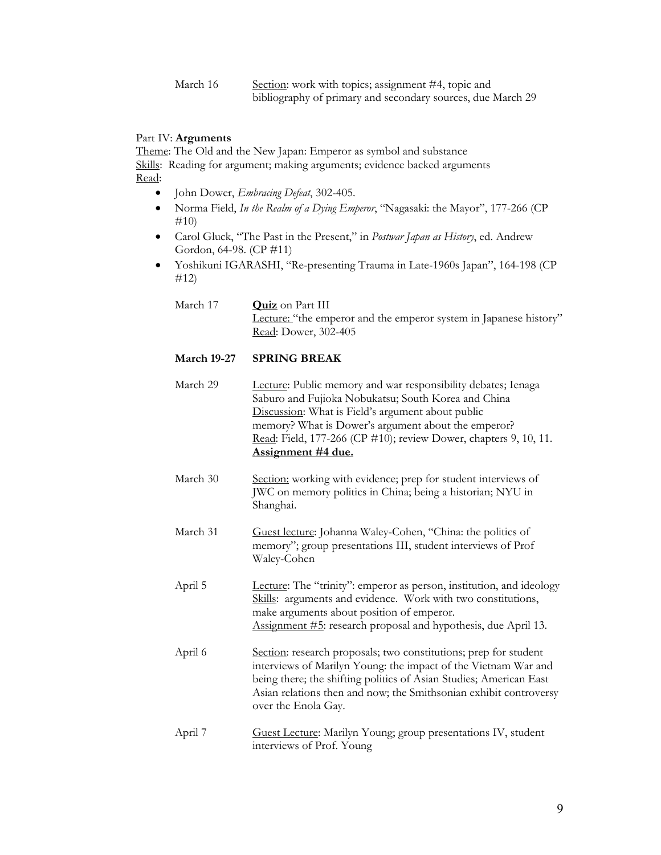March 16 Section: work with topics; assignment #4, topic and bibliography of primary and secondary sources, due March 29

## Part IV: **Arguments**

Theme: The Old and the New Japan: Emperor as symbol and substance Skills: Reading for argument; making arguments; evidence backed arguments Read:

- John Dower, *Embracing Defeat*, 302-405.
- Norma Field, *In the Realm of a Dying Emperor*, "Nagasaki: the Mayor", 177-266 (CP #10)
- Carol Gluck, "The Past in the Present," in *Postwar Japan as History*, ed. Andrew Gordon, 64-98. (CP #11)
- Yoshikuni IGARASHI, "Re-presenting Trauma in Late-1960s Japan", 164-198 (CP #12)

| March 17 | <b>Quiz</b> on Part III                                           |
|----------|-------------------------------------------------------------------|
|          | Lecture: "the emperor and the emperor system in Japanese history" |
|          | Read: Dower, 302-405                                              |

## **March 19-27 SPRING BREAK**

- March 29 Lecture: Public memory and war responsibility debates; Ienaga Saburo and Fujioka Nobukatsu; South Korea and China Discussion: What is Field's argument about public memory? What is Dower's argument about the emperor? Read: Field, 177-266 (CP #10); review Dower, chapters 9, 10, 11. **Assignment #4 due.**
- March 30 Section: working with evidence; prep for student interviews of JWC on memory politics in China; being a historian; NYU in Shanghai.
- March 31 Guest lecture: Johanna Waley-Cohen, "China: the politics of memory"; group presentations III, student interviews of Prof Waley-Cohen

April 5 Lecture: The "trinity": emperor as person, institution, and ideology Skills: arguments and evidence. Work with two constitutions, make arguments about position of emperor. Assignment #5: research proposal and hypothesis, due April 13.

- April 6 Section: research proposals; two constitutions; prep for student interviews of Marilyn Young: the impact of the Vietnam War and being there; the shifting politics of Asian Studies; American East Asian relations then and now; the Smithsonian exhibit controversy over the Enola Gay.
- April 7 Guest Lecture: Marilyn Young; group presentations IV, student interviews of Prof. Young